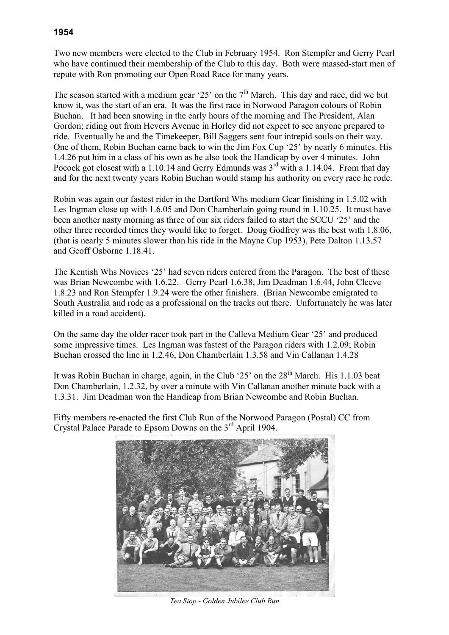## **1954**

Two new members were elected to the Club in February 1954. Ron Stempfer and Gerry Pearl who have continued their membership of the Club to this day. Both were massed-start men of repute with Ron promoting our Open Road Race for many years.

The season started with a medium gear '25' on the  $7<sup>th</sup>$  March. This day and race, did we but know it, was the start of an era. It was the first race in Norwood Paragon colours of Robin Buchan. It had been snowing in the early hours of the morning and The President, Alan Gordon; riding out from Hevers Avenue in Horley did not expect to see anyone prepared to ride. Eventually he and the Timekeeper, Bill Saggers sent four intrepid souls on their way. One of them, Robin Buchan came back to win the Jim Fox Cup '25' by nearly 6 minutes. His 1.4.26 put him in a class of his own as he also took the Handicap by over 4 minutes. John Pocock got closest with a 1.10.14 and Gerry Edmunds was  $3<sup>rd</sup>$  with a 1.14.04. From that day and for the next twenty years Robin Buchan would stamp his authority on every race he rode.

Robin was again our fastest rider in the Dartford Whs medium Gear finishing in 1.5.02 with Les Ingman close up with 1.6.05 and Don Chamberlain going round in 1.10.25. It must have been another nasty morning as three of our six riders failed to start the SCCU '25' and the other three recorded times they would like to forget. Doug Godfrey was the best with 1.8.06, (that is nearly 5 minutes slower than his ride in the Mayne Cup 1953), Pete Dalton 1.13.57 and Geoff Osborne 1.18.41.

The Kentish Whs Novices '25' had seven riders entered from the Paragon. The best of these was Brian Newcombe with 1.6.22. Gerry Pearl 1.6.38, Jim Deadman 1.6.44, John Cleeve 1.8.23 and Ron Stempfer 1.9.24 were the other finishers. (Brian Newcombe emigrated to South Australia and rode as a professional on the tracks out there. Unfortunately he was later killed in a road accident).

On the same day the older racer took part in the Calleva Medium Gear '25' and produced some impressive times. Les Ingman was fastest of the Paragon riders with 1.2.09; Robin Buchan crossed the line in 1.2.46, Don Chamberlain 1.3.58 and Vin Callanan 1.4.28

It was Robin Buchan in charge, again, in the Club '25' on the  $28<sup>th</sup>$  March. His 1.1.03 beat Don Chamberlain, 1.2.32, by over a minute with Vin Callanan another minute back with a 1.3.31. Jim Deadman won the Handicap from Brian Newcombe and Robin Buchan.

Fifty members re-enacted the first Club Run of the Norwood Paragon (Postal) CC from Crystal Palace Parade to Epsom Downs on the 3rd April 1904.



*Tea Stop - Golden Jubilee Club Run*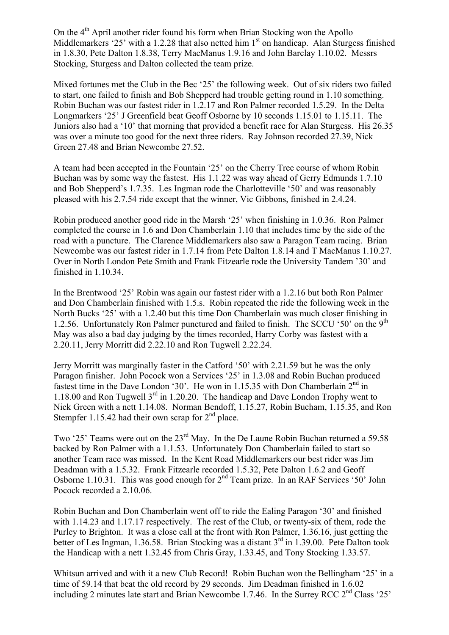On the  $4<sup>th</sup>$  April another rider found his form when Brian Stocking won the Apollo Middlemarkers '25' with a 1.2.28 that also netted him  $1<sup>st</sup>$  on handicap. Alan Sturgess finished in 1.8.30, Pete Dalton 1.8.38, Terry MacManus 1.9.16 and John Barclay 1.10.02. Messrs Stocking, Sturgess and Dalton collected the team prize.

Mixed fortunes met the Club in the Bec '25' the following week. Out of six riders two failed to start, one failed to finish and Bob Shepperd had trouble getting round in 1.10 something. Robin Buchan was our fastest rider in 1.2.17 and Ron Palmer recorded 1.5.29. In the Delta Longmarkers '25' J Greenfield beat Geoff Osborne by 10 seconds 1.15.01 to 1.15.11. The Juniors also had a '10' that morning that provided a benefit race for Alan Sturgess. His 26.35 was over a minute too good for the next three riders. Ray Johnson recorded 27.39, Nick Green 27.48 and Brian Newcombe 27.52.

A team had been accepted in the Fountain '25' on the Cherry Tree course of whom Robin Buchan was by some way the fastest. His 1.1.22 was way ahead of Gerry Edmunds 1.7.10 and Bob Shepperd's 1.7.35. Les Ingman rode the Charlotteville '50' and was reasonably pleased with his 2.7.54 ride except that the winner, Vic Gibbons, finished in 2.4.24.

Robin produced another good ride in the Marsh '25' when finishing in 1.0.36. Ron Palmer completed the course in 1.6 and Don Chamberlain 1.10 that includes time by the side of the road with a puncture. The Clarence Middlemarkers also saw a Paragon Team racing. Brian Newcombe was our fastest rider in 1.7.14 from Pete Dalton 1.8.14 and T MacManus 1.10.27. Over in North London Pete Smith and Frank Fitzearle rode the University Tandem '30' and finished in 1.10.34.

In the Brentwood '25' Robin was again our fastest rider with a 1.2.16 but both Ron Palmer and Don Chamberlain finished with 1.5.s. Robin repeated the ride the following week in the North Bucks '25' with a 1.2.40 but this time Don Chamberlain was much closer finishing in 1.2.56. Unfortunately Ron Palmer punctured and failed to finish. The SCCU '50' on the  $9<sup>th</sup>$ May was also a bad day judging by the times recorded, Harry Corby was fastest with a 2.20.11, Jerry Morritt did 2.22.10 and Ron Tugwell 2.22.24.

Jerry Morritt was marginally faster in the Catford '50' with 2.21.59 but he was the only Paragon finisher. John Pocock won a Services '25' in 1.3.08 and Robin Buchan produced fastest time in the Dave London '30'. He won in 1.15.35 with Don Chamberlain  $2^{nd}$  in 1.18.00 and Ron Tugwell  $3^{rd}$  in 1.20.20. The handicap and Dave London Trophy went to Nick Green with a nett 1.14.08. Norman Bendoff, 1.15.27, Robin Bucham, 1.15.35, and Ron Stempfer 1.15.42 had their own scrap for  $2<sup>nd</sup>$  place.

Two '25' Teams were out on the 23<sup>rd</sup> May. In the De Laune Robin Buchan returned a 59.58 backed by Ron Palmer with a 1.1.53. Unfortunately Don Chamberlain failed to start so another Team race was missed. In the Kent Road Middlemarkers our best rider was Jim Deadman with a 1.5.32. Frank Fitzearle recorded 1.5.32, Pete Dalton 1.6.2 and Geoff Osborne 1.10.31. This was good enough for  $2<sup>nd</sup>$  Team prize. In an RAF Services '50' John Pocock recorded a 2.10.06.

Robin Buchan and Don Chamberlain went off to ride the Ealing Paragon '30' and finished with 1.14.23 and 1.17.17 respectively. The rest of the Club, or twenty-six of them, rode the Purley to Brighton. It was a close call at the front with Ron Palmer, 1.36.16, just getting the better of Les Ingman, 1.36.58. Brian Stocking was a distant 3<sup>rd</sup> in 1.39.00. Pete Dalton took the Handicap with a nett 1.32.45 from Chris Gray, 1.33.45, and Tony Stocking 1.33.57.

Whitsun arrived and with it a new Club Record! Robin Buchan won the Bellingham '25' in a time of 59.14 that beat the old record by 29 seconds. Jim Deadman finished in 1.6.02 including 2 minutes late start and Brian Newcombe 1.7.46. In the Surrey RCC 2<sup>nd</sup> Class '25'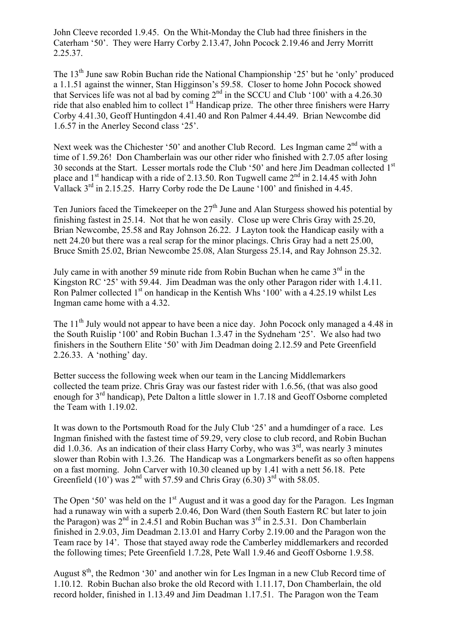John Cleeve recorded 1.9.45. On the Whit-Monday the Club had three finishers in the Caterham '50'. They were Harry Corby 2.13.47, John Pocock 2.19.46 and Jerry Morritt 2.25.37.

The 13<sup>th</sup> June saw Robin Buchan ride the National Championship '25' but he 'only' produced a 1.1.51 against the winner, Stan Higginson's 59.58. Closer to home John Pocock showed that Services life was not al bad by coming  $2<sup>nd</sup>$  in the SCCU and Club '100' with a 4.26.30 ride that also enabled him to collect 1<sup>st</sup> Handicap prize. The other three finishers were Harry Corby 4.41.30, Geoff Huntingdon 4.41.40 and Ron Palmer 4.44.49. Brian Newcombe did 1.6.57 in the Anerley Second class '25'.

Next week was the Chichester '50' and another Club Record. Les Ingman came  $2<sup>nd</sup>$  with a time of 1.59.26! Don Chamberlain was our other rider who finished with 2.7.05 after losing 30 seconds at the Start. Lesser mortals rode the Club '50' and here Jim Deadman collected 1<sup>st</sup> place and  $1<sup>st</sup>$  handicap with a ride of 2.13.50. Ron Tugwell came  $2<sup>nd</sup>$  in 2.14.45 with John Vallack 3rd in 2.15.25. Harry Corby rode the De Laune '100' and finished in 4.45.

Ten Juniors faced the Timekeeper on the  $27<sup>th</sup>$  June and Alan Sturgess showed his potential by finishing fastest in 25.14. Not that he won easily. Close up were Chris Gray with 25.20, Brian Newcombe, 25.58 and Ray Johnson 26.22. J Layton took the Handicap easily with a nett 24.20 but there was a real scrap for the minor placings. Chris Gray had a nett 25.00, Bruce Smith 25.02, Brian Newcombe 25.08, Alan Sturgess 25.14, and Ray Johnson 25.32.

July came in with another 59 minute ride from Robin Buchan when he came  $3<sup>rd</sup>$  in the Kingston RC '25' with 59.44. Jim Deadman was the only other Paragon rider with 1.4.11. Ron Palmer collected 1<sup>st</sup> on handicap in the Kentish Whs '100' with a 4.25.19 whilst Les Ingman came home with a 4.32.

The  $11<sup>th</sup>$  July would not appear to have been a nice day. John Pocock only managed a 4.48 in the South Ruislip '100' and Robin Buchan 1.3.47 in the Sydneham '25'. We also had two finishers in the Southern Elite '50' with Jim Deadman doing 2.12.59 and Pete Greenfield 2.26.33. A 'nothing' day.

Better success the following week when our team in the Lancing Middlemarkers collected the team prize. Chris Gray was our fastest rider with 1.6.56, (that was also good enough for 3<sup>rd</sup> handicap), Pete Dalton a little slower in 1.7.18 and Geoff Osborne completed the Team with 1.19.02.

It was down to the Portsmouth Road for the July Club '25' and a humdinger of a race. Les Ingman finished with the fastest time of 59.29, very close to club record, and Robin Buchan did 1.0.36. As an indication of their class Harry Corby, who was  $3<sup>rd</sup>$ , was nearly 3 minutes slower than Robin with 1.3.26. The Handicap was a Longmarkers benefit as so often happens on a fast morning. John Carver with 10.30 cleaned up by 1.41 with a nett 56.18. Pete Greenfield (10') was  $2<sup>nd</sup>$  with 57.59 and Chris Gray (6.30)  $3<sup>rd</sup>$  with 58.05.

The Open '50' was held on the 1<sup>st</sup> August and it was a good day for the Paragon. Les Ingman had a runaway win with a superb 2.0.46, Don Ward (then South Eastern RC but later to join the Paragon) was  $2^{nd}$  in 2.4.51 and Robin Buchan was  $3^{rd}$  in 2.5.31. Don Chamberlain finished in 2.9.03, Jim Deadman 2.13.01 and Harry Corby 2.19.00 and the Paragon won the Team race by 14'. Those that stayed away rode the Camberley middlemarkers and recorded the following times; Pete Greenfield 1.7.28, Pete Wall 1.9.46 and Geoff Osborne 1.9.58.

August  $8<sup>th</sup>$ , the Redmon '30' and another win for Les Ingman in a new Club Record time of 1.10.12. Robin Buchan also broke the old Record with 1.11.17, Don Chamberlain, the old record holder, finished in 1.13.49 and Jim Deadman 1.17.51. The Paragon won the Team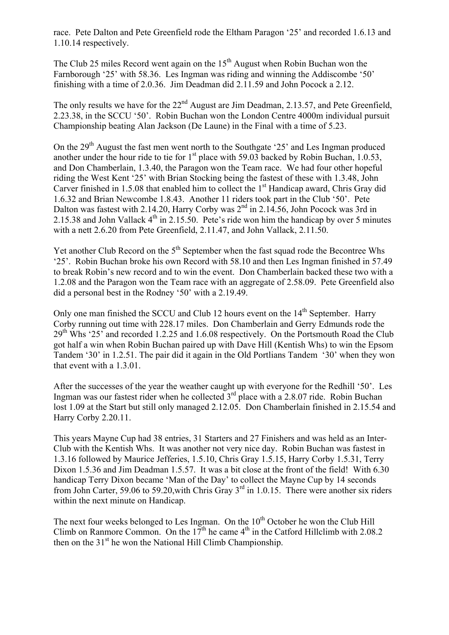race. Pete Dalton and Pete Greenfield rode the Eltham Paragon '25' and recorded 1.6.13 and 1.10.14 respectively.

The Club 25 miles Record went again on the 15<sup>th</sup> August when Robin Buchan won the Farnborough '25' with 58.36. Les Ingman was riding and winning the Addiscombe '50' finishing with a time of 2.0.36. Jim Deadman did 2.11.59 and John Pocock a 2.12.

The only results we have for the  $22<sup>nd</sup>$  August are Jim Deadman, 2.13.57, and Pete Greenfield, 2.23.38, in the SCCU '50'. Robin Buchan won the London Centre 4000m individual pursuit Championship beating Alan Jackson (De Laune) in the Final with a time of 5.23.

On the 29<sup>th</sup> August the fast men went north to the Southgate '25' and Les Ingman produced another under the hour ride to tie for  $1<sup>st</sup>$  place with 59.03 backed by Robin Buchan, 1.0.53, and Don Chamberlain, 1.3.40, the Paragon won the Team race. We had four other hopeful riding the West Kent '25' with Brian Stocking being the fastest of these with 1.3.48, John Carver finished in 1.5.08 that enabled him to collect the  $1<sup>st</sup>$  Handicap award, Chris Gray did 1.6.32 and Brian Newcombe 1.8.43. Another 11 riders took part in the Club '50'. Pete Dalton was fastest with 2.14.20, Harry Corby was  $2<sup>nd</sup>$  in 2.14.56, John Pocock was 3rd in 2.15.38 and John Vallack  $4<sup>th</sup>$  in 2.15.50. Pete's ride won him the handicap by over 5 minutes with a nett 2.6.20 from Pete Greenfield, 2.11.47, and John Vallack, 2.11.50.

Yet another Club Record on the 5<sup>th</sup> September when the fast squad rode the Becontree Whs '25'. Robin Buchan broke his own Record with 58.10 and then Les Ingman finished in 57.49 to break Robin's new record and to win the event. Don Chamberlain backed these two with a 1.2.08 and the Paragon won the Team race with an aggregate of 2.58.09. Pete Greenfield also did a personal best in the Rodney '50' with a 2.19.49.

Only one man finished the SCCU and Club 12 hours event on the 14<sup>th</sup> September. Harry Corby running out time with 228.17 miles. Don Chamberlain and Gerry Edmunds rode the  $29<sup>th</sup>$  Whs '25' and recorded 1.2.25 and 1.6.08 respectively. On the Portsmouth Road the Club got half a win when Robin Buchan paired up with Dave Hill (Kentish Whs) to win the Epsom Tandem '30' in 1.2.51. The pair did it again in the Old Portlians Tandem '30' when they won that event with a 1.3.01.

After the successes of the year the weather caught up with everyone for the Redhill '50'. Les Ingman was our fastest rider when he collected 3<sup>rd</sup> place with a 2.8.07 ride. Robin Buchan lost 1.09 at the Start but still only managed 2.12.05. Don Chamberlain finished in 2.15.54 and Harry Corby 2.20.11.

This years Mayne Cup had 38 entries, 31 Starters and 27 Finishers and was held as an Inter-Club with the Kentish Whs. It was another not very nice day. Robin Buchan was fastest in 1.3.16 followed by Maurice Jefferies, 1.5.10, Chris Gray 1.5.15, Harry Corby 1.5.31, Terry Dixon 1.5.36 and Jim Deadman 1.5.57. It was a bit close at the front of the field! With 6.30 handicap Terry Dixon became 'Man of the Day' to collect the Mayne Cup by 14 seconds from John Carter, 59.06 to 59.20, with Chris Gray  $3<sup>rd</sup>$  in 1.0.15. There were another six riders within the next minute on Handicap.

The next four weeks belonged to Les Ingman. On the 10<sup>th</sup> October he won the Club Hill Climb on Ranmore Common. On the  $17<sup>th</sup>$  he came  $4<sup>th</sup>$  in the Catford Hillclimb with 2.08.2 then on the  $31<sup>st</sup>$  he won the National Hill Climb Championship.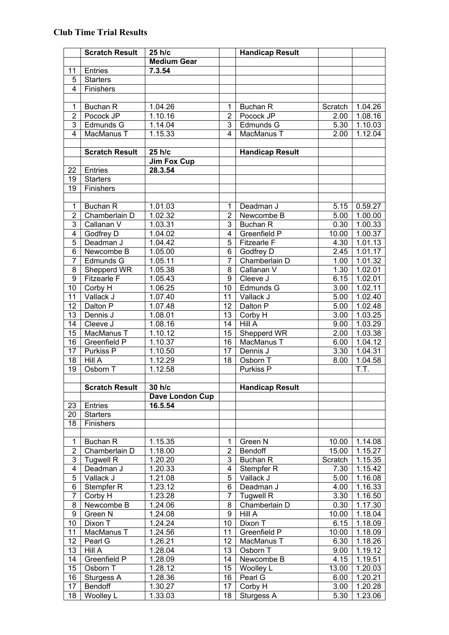|                             | <b>Scratch Result</b> | 25 h/c                 |                | <b>Handicap Result</b> |                   |                       |
|-----------------------------|-----------------------|------------------------|----------------|------------------------|-------------------|-----------------------|
|                             |                       | <b>Medium Gear</b>     |                |                        |                   |                       |
| 11                          | Entries               | 7.3.54                 |                |                        |                   |                       |
| 5                           | Starters              |                        |                |                        |                   |                       |
| $\overline{\mathbf{4}}$     | Finishers             |                        |                |                        |                   |                       |
|                             |                       |                        |                |                        |                   |                       |
| 1                           | Buchan R              | 1.04.26                | 1              | <b>Buchan R</b>        | Scratch           | 1.04.26               |
| $\overline{2}$              | Pocock JP             | 1.10.16                | $\overline{2}$ | Pocock JP              | 2.00              | 1.08.16               |
| $\overline{3}$              | Edmunds G             | 1.14.04                | $\overline{3}$ | Edmunds G              | $\overline{5.30}$ | 1.10.03               |
| $\overline{\mathbf{4}}$     | MacManus T            | 1.15.33                | 4              | MacManus T             | 2.00              | 1.12.04               |
|                             |                       |                        |                |                        |                   |                       |
|                             | <b>Scratch Result</b> | 25 h/c                 |                | <b>Handicap Result</b> |                   |                       |
|                             |                       | <b>Jim Fox Cup</b>     |                |                        |                   |                       |
| 22                          | Entries               | 28.3.54                |                |                        |                   |                       |
| 19                          | <b>Starters</b>       |                        |                |                        |                   |                       |
| 19                          | Finishers             |                        |                |                        |                   |                       |
|                             |                       |                        |                |                        |                   |                       |
| $\mathbf 1$                 | <b>Buchan R</b>       | 1.01.03                | 1              | Deadman J              | 5.15              | 0.59.27               |
| $\overline{2}$              | Chamberlain D         | 1.02.32                | $\overline{2}$ | Newcombe B             | 5.00              | 1.00.00               |
| $\overline{3}$              | Callanan V            | 1.03.31                | 3              | Buchan R               | 0.30              | 1.00.33               |
| 4                           | Godfrey D             | 1.04.02                | 4              | Greenfield P           | 10.00             | 1.00.37               |
| $\overline{5}$              | Deadman J             | 1.04.42                | 5              | <b>Fitzearle F</b>     | 4.30              | 1.01.13               |
| 6                           | Newcombe B            | 1.05.00                | 6              | Godfrey D              | 2.45              | 1.01.17               |
| $\overline{7}$              | Edmunds G             | 1.05.11                | $\overline{7}$ | Chamberlain D          | 1.00              | 1.01.32               |
| 8                           | Shepperd WR           | 1.05.38                | 8              | Callanan V             | 1.30              | 1.02.01               |
| 9                           | <b>Fitzearle F</b>    | 1.05.43                | 9              | Cleeve J               | 6.15              | 1.02.01               |
| 10                          | Corby H               | 1.06.25                | 10             | Edmunds G              | 3.00              | 1.02.11               |
| 11                          | Vallack J             | 1.07.40                | 11             | Vallack J              | 5.00              | 1.02.40               |
| 12                          | Dalton P              | 1.07.48                | 12             | Dalton P               | 5.00              | 1.02.48               |
| 13                          | Dennis J              | 1.08.01                | 13             | Corby H                | 3.00              | 1.03.25               |
| 14                          | Cleeve J              | 1.08.16                | 14             | Hill A                 | 9.00              | 1.03.29               |
| 15                          | MacManus T            | 1.10.12                | 15             | Shepperd WR            | 2.00              | 1.03.38               |
| 16                          | Greenfield P          | 1.10.37                | 16             | MacManus T             | 6.00              | 1.04.12               |
| 17                          | Purkiss <sub>P</sub>  | 1.10.50                | 17             | Dennis J               | 3.30              | 1.04.31               |
| 18                          | Hill A                | $\overline{1.12.29}$   | 18             | Osborn T               | 8.00              | 1.04.58               |
| 19                          | Osborn T              | 1.12.58                |                | Purkiss <sub>P</sub>   |                   | T.T.                  |
|                             |                       |                        |                |                        |                   |                       |
|                             | <b>Scratch Result</b> | $\sqrt{30}$ h/c        |                | <b>Handicap Result</b> |                   |                       |
|                             |                       | <b>Dave London Cup</b> |                |                        |                   |                       |
| 23                          | Entries               | 16.5.54                |                |                        |                   |                       |
| 20                          | <b>Starters</b>       |                        |                |                        |                   |                       |
| 18                          | Finishers             |                        |                |                        |                   |                       |
|                             |                       |                        |                |                        |                   |                       |
| $\mathbf 1$                 | <b>Buchan R</b>       | 1.15.35                | 1              | Green N                | 10.00             | 1.14.08               |
| $\overline{2}$              | Chamberlain D         | 1.18.00                | $\overline{2}$ | Bendoff                | 15.00             | 1.15.27               |
| $\overline{3}$              | <b>Tugwell R</b>      | 1.20.20                | 3              | Buchan R               | Scratch           | 1.15.35               |
| 4                           | Deadman J             | 1.20.33                | 4              | Stempfer R             | 7.30              | 1.15.42               |
| $\sqrt{5}$                  | Vallack J             | 1.21.08                | 5              | Vallack J              | 5.00              | 1.16.08               |
| 6                           |                       | 1.23.12                | 6              | Deadman J              | 4.00              | 1.16.33               |
| $\overline{7}$              | Stempfer R            |                        | $\overline{7}$ |                        | 3.30              |                       |
|                             | Corby H               | 1.23.28                |                | <b>Tugwell R</b>       |                   | 1.16.50               |
| $\bf 8$<br>$\boldsymbol{9}$ | Newcombe B            | 1.24.06                | 8              | Chamberlain D          | 0.30              | 1.17.30               |
|                             | Green N               | 1.24.08                | 9              | Hill A                 | 10.00             | 1.18.04               |
| 10                          | Dixon T               | 1.24.24                | 10             | Dixon T                | 6.15              | $\overline{1}$ .18.09 |
| 11                          | MacManus T            | 1.24.56                | 11             | Greenfield P           | 10.00             | 1.18.09               |
| 12                          | Pearl G               | 1.26.21                | 12             | MacManus T             | 6.30              | 1.18.26               |
| 13                          | Hill A                | 1.28.04                | 13             | Osborn T               | 9.00              | $\overline{1.19.12}$  |
| 14                          | Greenfield P          | 1.28.09                | 14             | Newcombe B             | 4.15              | 1.19.51               |
| 15                          | Osborn T              | 1.28.12                | 15             | Woolley L              | 13.00             | 1.20.03               |
| 16                          | Sturgess A            | 1.28.36                | 16             | Pearl G                | 6.00              | 1.20.21               |
| 17                          | Bendoff               | 1.30.27                | 17             | Corby H                | 3.00              | 1.20.28               |
| 18                          | Woolley L             | 1.33.03                | 18             | Sturgess A             | 5.30              | 1.23.06               |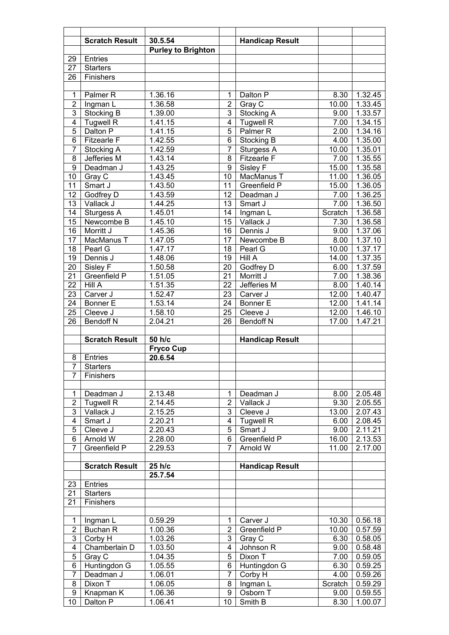|                                  | <b>Scratch Result</b>      | 30.5.54                   |                       | <b>Handicap Result</b>      |              |                      |
|----------------------------------|----------------------------|---------------------------|-----------------------|-----------------------------|--------------|----------------------|
|                                  |                            | <b>Purley to Brighton</b> |                       |                             |              |                      |
| 29                               | Entries                    |                           |                       |                             |              |                      |
| 27                               | Starters                   |                           |                       |                             |              |                      |
| 26                               | Finishers                  |                           |                       |                             |              |                      |
| $\mathbf{1}$                     | Palmer <sub>R</sub>        | 1.36.16                   | 1                     | Dalton P                    | 8.30         | 1.32.45              |
| $\overline{2}$                   | Ingman L                   | 1.36.58                   | $\overline{2}$        | Gray C                      | 10.00        | 1.33.45              |
| 3                                | Stocking B                 | 1.39.00                   | 3                     | Stocking A                  | 9.00         | 1.33.57              |
| $\overline{4}$                   | <b>Tugwell R</b>           | 1.41.15                   | $\overline{4}$        | <b>Tugwell R</b>            | 7.00         | 1.34.15              |
| $\overline{5}$                   | Dalton P                   | 1.41.15                   | $\overline{5}$        | Palmer <sub>R</sub>         | 2.00         | 1.34.16              |
| 6                                | <b>Fitzearle F</b>         | 1.42.55                   | 6                     | Stocking B                  | 4.00         | 1.35.00              |
| $\overline{7}$                   | Stocking A                 | 1.42.59                   | $\overline{7}$        | Sturgess A                  | 10.00        | 1.35.01              |
| 8                                | Jefferies M                | 1.43.14                   | 8                     | Fitzearle F                 | 7.00         | 1.35.55              |
| 9                                | Deadman J                  | 1.43.25                   | 9                     | Sisley F                    | 15.00        | 1.35.58              |
| 10                               | Gray C                     | 1.43.45                   | 10                    | MacManus T                  | 11.00        | $\overline{1.36.05}$ |
| 11<br>12                         | Smart J                    | 1.43.50<br>1.43.59        | $\overline{11}$<br>12 | Greenfield P                | 15.00        | 1.36.05<br>1.36.25   |
| 13                               | Godfrey D<br>Vallack J     | 1.44.25                   | 13                    | Deadman J<br>Smart J        | 7.00<br>7.00 | 1.36.50              |
| 14                               | Sturgess A                 | 1.45.01                   | 14                    | Ingman L                    | Scratch      | 1.36.58              |
| 15                               | Newcombe B                 | 1.45.10                   | 15                    | Vallack J                   | 7.30         | 1.36.58              |
| 16                               | Morritt J                  | 1.45.36                   | 16                    | Dennis J                    | 9.00         | 1.37.06              |
| 17                               | MacManus T                 | 1.47.05                   | 17                    | Newcombe B                  | 8.00         | 1.37.10              |
| 18                               | Pearl G                    | 1.47.17                   | 18                    | Pearl G                     | 10.00        | 1.37.17              |
| 19                               | Dennis J                   | 1.48.06                   | 19                    | Hill A                      | 14.00        | 1.37.35              |
| 20                               | Sisley F                   | 1.50.58                   | 20                    | Godfrey D                   | 6.00         | 1.37.59              |
| 21                               | Greenfield P               | 1.51.05                   | 21                    | Morritt J                   | 7.00         | 1.38.36              |
| 22                               | Hill A                     | 1.51.35                   | 22                    | Jefferies M                 | 8.00         | 1.40.14              |
| 23                               | Carver J                   | 1.52.47                   | 23                    | Carver J                    | 12.00        | $\overline{1.40.47}$ |
| 24                               | <b>Bonner E</b>            | 1.53.14                   | 24                    | <b>Bonner E</b>             | 12.00        | 1.41.14              |
| 25                               | Cleeve J                   | 1.58.10                   | 25                    | Cleeve J                    | 12.00        | 1.46.10              |
| 26                               | <b>Bendoff N</b>           | 2.04.21                   | 26                    | <b>Bendoff N</b>            | 17.00        | 1.47.21              |
|                                  | <b>Scratch Result</b>      | 50 h/c                    |                       | <b>Handicap Result</b>      |              |                      |
|                                  |                            | <b>Fryco Cup</b>          |                       |                             |              |                      |
| 8                                | Entries                    | 20.6.54                   |                       |                             |              |                      |
| $\overline{7}$                   | Starters                   |                           |                       |                             |              |                      |
| $\overline{7}$                   | Finishers                  |                           |                       |                             |              |                      |
|                                  |                            |                           |                       |                             |              |                      |
| $\mathbf{1}$                     | Deadman J                  | 2.13.48                   | 1                     | Deadman J                   | 8.00         | 2.05.48              |
| $\overline{2}$                   | <b>Tugwell R</b>           | 2.14.45                   | $\overline{2}$        | Vallack J                   | 9.30         | 2.05.55              |
| 3                                | Vallack J                  | 2.15.25                   | 3                     | Cleeve J                    | 13.00        | 2.07.43              |
| 4<br>$\overline{5}$              | Smart J<br>Cleeve J        | 2.20.21<br>2.20.43        | 4<br>$\overline{5}$   | <b>Tugwell R</b><br>Smart J | 6.00<br>9.00 | 2.08.45<br>2.11.21   |
| 6                                | Arnold W                   | 2.28.00                   | 6                     | Greenfield P                | 16.00        | 2.13.53              |
| $\overline{7}$                   | Greenfield P               | 2.29.53                   | $\overline{7}$        | Arnold W                    | 11.00        | 2.17.00              |
|                                  |                            |                           |                       |                             |              |                      |
|                                  | <b>Scratch Result</b>      | 25 h/c                    |                       | <b>Handicap Result</b>      |              |                      |
|                                  |                            | 25.7.54                   |                       |                             |              |                      |
| 23                               | Entries                    |                           |                       |                             |              |                      |
| 21                               | <b>Starters</b>            |                           |                       |                             |              |                      |
| 21                               | Finishers                  |                           |                       |                             |              |                      |
|                                  |                            |                           |                       |                             |              |                      |
| $\mathbf{1}$                     | Ingman L                   | 0.59.29                   | 1                     | Carver J                    | 10.30        | 0.56.18              |
| $\overline{2}$<br>$\overline{3}$ | Buchan R                   | 1.00.36                   | $\overline{2}$<br>3   | Greenfield P                | 10.00        | 0.57.59              |
| $\overline{4}$                   | Corby $H$<br>Chamberlain D | 1.03.26<br>1.03.50        | 4                     | Gray C<br>Johnson R         | 6.30<br>9.00 | 0.58.05<br>0.58.48   |
| $\overline{5}$                   | Gray C                     | 1.04.35                   | $\overline{5}$        | Dixon T                     | 7.00         | 0.59.05              |
| 6                                | Huntingdon G               | 1.05.55                   | 6                     | Huntingdon G                | 6.30         | 0.59.25              |
| $\overline{7}$                   | Deadman J                  | 1.06.01                   | $\overline{7}$        | Corby $H$                   | 4.00         | 0.59.26              |
| 8                                | Dixon T                    | 1.06.05                   | 8                     | Ingman L                    | Scratch      | 0.59.29              |
| 9                                | Knapman K                  | 1.06.36                   | 9                     | Osborn T                    | 9.00         | 0.59.55              |
| 10                               | Dalton P                   | 1.06.41                   | 10                    | Smith B                     | 8.30         | 1.00.07              |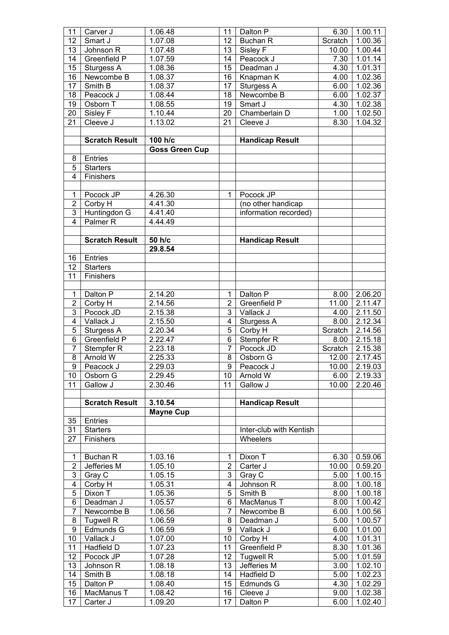| 11                      | Carver J               | 1.06.48               | 11             | Dalton P                | 6.30         | 1.00.11            |
|-------------------------|------------------------|-----------------------|----------------|-------------------------|--------------|--------------------|
| 12                      | Smart J                | 1.07.08               | 12             | <b>Buchan R</b>         | Scratch      | 1.00.36            |
| 13                      | Johnson R              | 1.07.48               | 13             | Sisley F                | 10.00        | 1.00.44            |
| 14                      | Greenfield P           | 1.07.59               | 14             | Peacock J               | 7.30         | 1.01.14            |
| 15                      | Sturgess A             | 1.08.36               | 15             | Deadman J               | 4.30         | 1.01.31            |
| 16                      | Newcombe B             | 1.08.37               | 16             | Knapman K               | 4.00         | 1.02.36            |
| 17                      | Smith B                | 1.08.37               | 17             | Sturgess A              | 6.00         | 1.02.36            |
| 18                      | Peacock J              | 1.08.44               | 18             | Newcombe B              | 6.00         | 1.02.37            |
| 19                      | Osborn T               | 1.08.55               | 19             | Smart J                 | 4.30         | 1.02.38            |
| 20                      | Sisley F               | 1.10.44               | 20             | Chamberlain D           | 1.00         | 1.02.50            |
| $\overline{21}$         | Cleeve J               | 1.13.02               | 21             | Cleeve J                | 8.30         | 1.04.32            |
|                         |                        |                       |                |                         |              |                    |
|                         | <b>Scratch Result</b>  | 100 h/c               |                | <b>Handicap Result</b>  |              |                    |
|                         |                        | <b>Goss Green Cup</b> |                |                         |              |                    |
| 8                       | Entries                |                       |                |                         |              |                    |
| $\overline{5}$          | <b>Starters</b>        |                       |                |                         |              |                    |
| $\overline{4}$          | Finishers              |                       |                |                         |              |                    |
|                         |                        |                       |                |                         |              |                    |
| $\mathbf{1}$            | Pocock JP              | 4.26.30               | $\mathbf{1}$   | Pocock JP               |              |                    |
| $\overline{2}$          | Corby H                | 4.41.30               |                | (no other handicap      |              |                    |
| $\overline{3}$          | Huntingdon G           | 4.41.40               |                | information recorded)   |              |                    |
| $\overline{4}$          | Palmer <sub>R</sub>    | 4.44.49               |                |                         |              |                    |
|                         |                        |                       |                |                         |              |                    |
|                         | <b>Scratch Result</b>  | 50 h/c                |                | <b>Handicap Result</b>  |              |                    |
|                         |                        | 29.8.54               |                |                         |              |                    |
| 16                      | Entries                |                       |                |                         |              |                    |
| 12                      | <b>Starters</b>        |                       |                |                         |              |                    |
| $\overline{11}$         | Finishers              |                       |                |                         |              |                    |
|                         |                        |                       |                |                         |              |                    |
| $\mathbf{1}$            | Dalton P               | 2.14.20               | $\mathbf 1$    | Dalton P                | 8.00         | 2.06.20            |
| $\overline{2}$          | Corby $H$              | 2.14.56               | $\overline{2}$ | Greenfield P            | 11.00        | 2.11.47            |
| $\overline{3}$          | Pocock JD              | 2.15.38               | 3              | Vallack J               | 4.00         | 2.11.50            |
| $\overline{4}$          | Vallack J              | 2.15.50               | $\overline{4}$ | Sturgess A              | 8.00         | 2.12.34            |
| $\overline{5}$          | Sturgess A             | 2.20.34               | $\overline{5}$ | Corby H                 | Scratch      | 2.14.56            |
|                         |                        |                       |                |                         |              |                    |
| $\overline{6}$          | Greenfield P           | 2.22.47               | $\overline{6}$ | Stempfer R              | 8.00         | 2.15.18            |
| $\overline{7}$          | Stempfer R             | 2.23.18               | $\overline{7}$ | Pocock JD               | Scratch      | 2.15.38            |
| $\overline{8}$          | Arnold W               | 2.25.33               | $\overline{8}$ | Osborn G                | 12.00        | 2.17.45            |
| 9                       | Peacock J              | 2.29.03               | 9 <sup>1</sup> | Peacock J               |              | $10.00$ 2.19.03    |
| 10 <sup>°</sup>         | Osborn G               | 2.29.45               | 10             | Arnold W                | 6.00         | 2.19.33            |
| 11                      | Gallow J               | 2.30.46               | 11             | Gallow J                | 10.00        | 2.20.46            |
|                         |                        |                       |                |                         |              |                    |
|                         | <b>Scratch Result</b>  | 3.10.54               |                | <b>Handicap Result</b>  |              |                    |
|                         |                        | <b>Mayne Cup</b>      |                |                         |              |                    |
| 35                      | Entries                |                       |                |                         |              |                    |
| 31                      | <b>Starters</b>        |                       |                | Inter-club with Kentish |              |                    |
| 27                      | Finishers              |                       |                | Wheelers                |              |                    |
|                         |                        |                       |                |                         |              |                    |
| $\mathbf 1$             | Buchan R               | 1.03.16               | 1              | Dixon T                 | 6.30         | 0.59.06            |
| $\overline{2}$          | Jefferies M            | 1.05.10               | 2              | Carter J                | 10.00        | 0.59.20            |
| $\overline{3}$          | Gray $\overline{C}$    | 1.05.15               | $\overline{3}$ | Gray C                  | 5.00         | 1.00.15            |
| $\overline{\mathbf{4}}$ | Corby H                | 1.05.31               | $\overline{4}$ | Johnson R               | 8.00         | 1.00.18            |
| $\mathbf 5$             | Dixon T                | 1.05.36               | 5              | Smith B                 | 8.00         | 1.00.18            |
| $\overline{6}$          | Deadman J              | 1.05.57               | $\overline{6}$ | MacManus T              | 8.00         | 1.00.42            |
| $\overline{7}$          | Newcombe B             | 1.06.56               | $\overline{7}$ | Newcombe B              | 6.00         | 1.00.56            |
| 8                       | <b>Tugwell R</b>       | 1.06.59               | 8              | Deadman J               | 5.00         | 1.00.57            |
| $\overline{9}$          | Edmunds G              | 1.06.59               | $\overline{9}$ | Vallack J               | 6.00         | 1.01.00            |
| 10                      | Vallack J              | 1.07.00               | 10             | Corby H                 | 4.00         | 1.01.31            |
| 11                      | Hadfield D             | 1.07.23               | 11             | Greenfield P            | 8.30         | 1.01.36            |
| 12                      | Pocock JP              | 1.07.28               | 12             | <b>Tugwell R</b>        | 5.00         | 1.01.59            |
| 13                      | Johnson R              | 1.08.18               | 13             | Jefferies M             | 3.00         | 1.02.10            |
| 14                      | Smith B                | 1.08.18               | 14             | Hadfield D              | 5.00         | 1.02.23            |
| 15                      | Dalton P               | 1.08.40               | 15             | Edmunds G               | 4.30         | 1.02.29            |
| 16<br>17                | MacManus T<br>Carter J | 1.08.42<br>1.09.20    | 16<br>17       | Cleeve J<br>Dalton P    | 9.00<br>6.00 | 1.02.38<br>1.02.40 |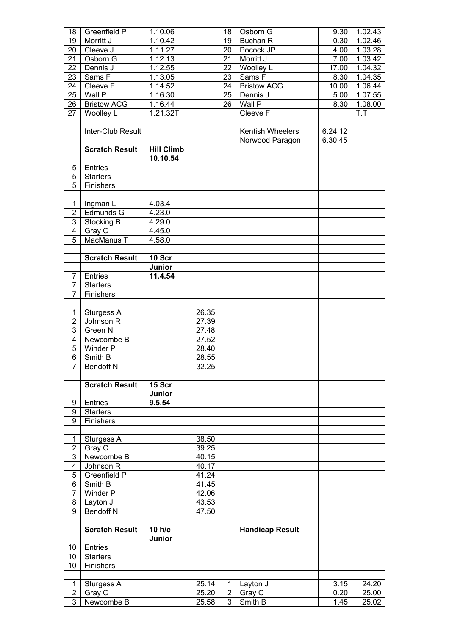| 18                               | Greenfield P          | 1.10.06              |                    | 18             | Osborn G               | 9.30    | 1.02.43 |
|----------------------------------|-----------------------|----------------------|--------------------|----------------|------------------------|---------|---------|
| 19                               | Morritt J             | 1.10.42              |                    | 19             | Buchan R               | 0.30    | 1.02.46 |
| 20                               | Cleeve J              | 1.11.27              |                    | 20             | Pocock JP              | 4.00    | 1.03.28 |
| 21                               | Osborn G              | 1.12.13              |                    | 21             | Morritt J              | 7.00    | 1.03.42 |
| 22                               | Dennis J              | 1.12.55              |                    | 22             | Woolley L              | 17.00   | 1.04.32 |
| 23                               | Sams F                | 1.13.05              |                    | 23             | Sams F                 | 8.30    | 1.04.35 |
| 24                               | Cleeve F              | 1.14.52              |                    | 24             | <b>Bristow ACG</b>     | 10.00   | 1.06.44 |
| 25                               | Wall P                | 1.16.30              |                    | 25             | Dennis J               | 5.00    | 1.07.55 |
| 26                               | <b>Bristow ACG</b>    | $1.\overline{16.44}$ |                    | 26             | Wall P                 | 8.30    | 1.08.00 |
| 27                               | Woolley L             | 1.21.32T             |                    |                | Cleeve F               |         | T.T     |
|                                  |                       |                      |                    |                |                        |         |         |
|                                  | Inter-Club Result     |                      |                    |                | Kentish Wheelers       | 6.24.12 |         |
|                                  |                       |                      |                    |                | Norwood Paragon        | 6.30.45 |         |
|                                  | <b>Scratch Result</b> | <b>Hill Climb</b>    |                    |                |                        |         |         |
|                                  |                       | 10.10.54             |                    |                |                        |         |         |
| 5                                | Entries               |                      |                    |                |                        |         |         |
| $\overline{5}$                   | <b>Starters</b>       |                      |                    |                |                        |         |         |
| $\overline{5}$                   | Finishers             |                      |                    |                |                        |         |         |
|                                  |                       |                      |                    |                |                        |         |         |
| $\mathbf 1$                      | Ingman L              | 4.03.4               |                    |                |                        |         |         |
| $\overline{2}$                   | Edmunds G             | 4.23.0               |                    |                |                        |         |         |
| $\overline{3}$                   |                       |                      |                    |                |                        |         |         |
|                                  | Stocking B            | 4.29.0               |                    |                |                        |         |         |
| $\overline{4}$<br>$\overline{5}$ | Gray C                | 4.45.0               |                    |                |                        |         |         |
|                                  | MacManus T            | 4.58.0               |                    |                |                        |         |         |
|                                  |                       |                      |                    |                |                        |         |         |
|                                  | <b>Scratch Result</b> | 10 Scr               |                    |                |                        |         |         |
|                                  |                       | Junior               |                    |                |                        |         |         |
| 7                                | Entries               | 11.4.54              |                    |                |                        |         |         |
| $\overline{7}$                   | <b>Starters</b>       |                      |                    |                |                        |         |         |
| $\overline{7}$                   | Finishers             |                      |                    |                |                        |         |         |
|                                  |                       |                      |                    |                |                        |         |         |
| 1                                | Sturgess A            |                      | 26.35              |                |                        |         |         |
| $\overline{2}$                   | Johnson R             |                      | $27.\overline{39}$ |                |                        |         |         |
| $\overline{3}$                   | Green N               |                      | 27.48              |                |                        |         |         |
| $\overline{\mathbf{4}}$          | Newcombe B            |                      | 27.52              |                |                        |         |         |
| $\overline{5}$                   | Winder P              |                      | 28.40              |                |                        |         |         |
| $\overline{6}$                   | Smith B               |                      | 28.55              |                |                        |         |         |
| $\overline{7}$                   | <b>Bendoff N</b>      |                      | 32.25              |                |                        |         |         |
|                                  |                       |                      |                    |                |                        |         |         |
|                                  | <b>Scratch Result</b> | 15 Scr               |                    |                |                        |         |         |
|                                  |                       | Junior               |                    |                |                        |         |         |
| 9                                | Entries               | 9.5.54               |                    |                |                        |         |         |
| 9                                | <b>Starters</b>       |                      |                    |                |                        |         |         |
| 9                                | Finishers             |                      |                    |                |                        |         |         |
|                                  |                       |                      |                    |                |                        |         |         |
| 1                                | Sturgess A            |                      | 38.50              |                |                        |         |         |
| $\overline{2}$                   | Gray $\overline{C}$   |                      | 39.25              |                |                        |         |         |
| $\overline{3}$                   | Newcombe B            |                      | 40.15              |                |                        |         |         |
| 4                                | Johnson R             |                      | 40.17              |                |                        |         |         |
| 5                                | Greenfield P          |                      | 41.24              |                |                        |         |         |
| 6                                | Smith B               |                      | 41.45              |                |                        |         |         |
| $\overline{7}$                   | <b>Winder P</b>       |                      | 42.06              |                |                        |         |         |
| 8                                | Layton $J$            |                      | 43.53              |                |                        |         |         |
| 9                                | <b>Bendoff N</b>      |                      | 47.50              |                |                        |         |         |
|                                  |                       |                      |                    |                |                        |         |         |
|                                  | <b>Scratch Result</b> | 10 h/c               |                    |                | <b>Handicap Result</b> |         |         |
|                                  |                       | Junior               |                    |                |                        |         |         |
| 10                               | Entries               |                      |                    |                |                        |         |         |
| 10                               | <b>Starters</b>       |                      |                    |                |                        |         |         |
| 10                               | Finishers             |                      |                    |                |                        |         |         |
|                                  |                       |                      |                    |                |                        |         |         |
| 1                                | Sturgess A            |                      | 25.14              | 1              |                        | 3.15    | 24.20   |
| $\overline{2}$                   | Gray C                |                      | 25.20              | $\overline{2}$ | Layton J<br>Gray C     | 0.20    | 25.00   |
| $\overline{3}$                   |                       |                      | 25.58              | 3              | Smith B                | 1.45    |         |
|                                  | Newcombe B            |                      |                    |                |                        |         | 25.02   |